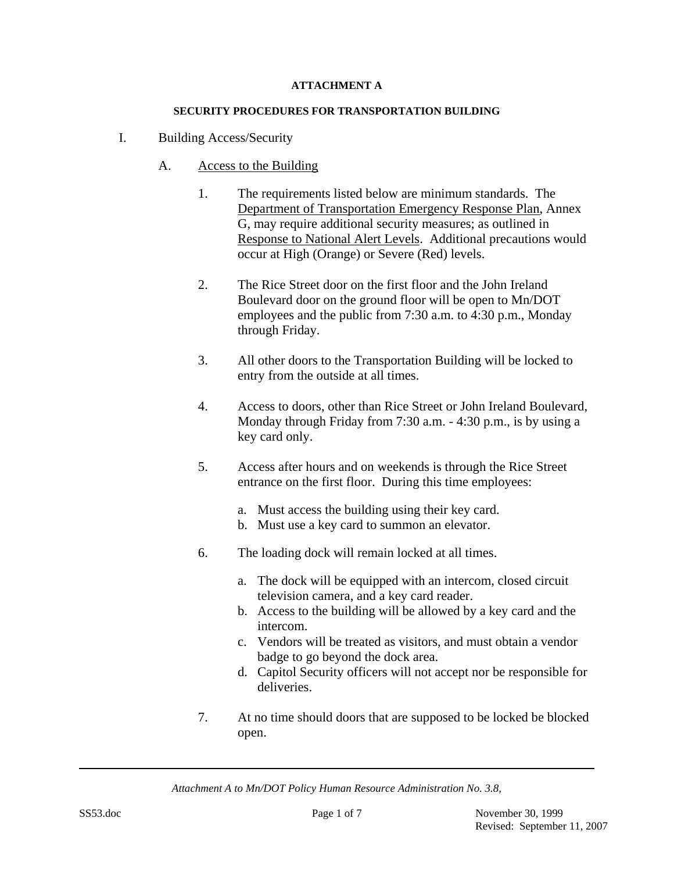### **ATTACHMENT A**

#### **SECURITY PROCEDURES FOR TRANSPORTATION BUILDING**

- I. Building Access/Security
	- A. Access to the Building
		- 1. The requirements listed below are minimum standards. The Department of Transportation Emergency Response Plan, Annex G, may require additional security measures; as outlined in Response to National Alert Levels. Additional precautions would occur at High (Orange) or Severe (Red) levels.
		- 2. The Rice Street door on the first floor and the John Ireland Boulevard door on the ground floor will be open to Mn/DOT employees and the public from 7:30 a.m. to 4:30 p.m., Monday through Friday.
		- 3. All other doors to the Transportation Building will be locked to entry from the outside at all times.
		- 4. Access to doors, other than Rice Street or John Ireland Boulevard, Monday through Friday from 7:30 a.m. - 4:30 p.m., is by using a key card only.
		- 5. Access after hours and on weekends is through the Rice Street entrance on the first floor. During this time employees:
			- a. Must access the building using their key card.
			- b. Must use a key card to summon an elevator.
		- 6. The loading dock will remain locked at all times.
			- a. The dock will be equipped with an intercom, closed circuit television camera, and a key card reader.
			- b. Access to the building will be allowed by a key card and the intercom.
			- c. Vendors will be treated as visitors, and must obtain a vendor badge to go beyond the dock area.
			- d. Capitol Security officers will not accept nor be responsible for deliveries.
		- 7. At no time should doors that are supposed to be locked be blocked open.

*Attachment A to Mn/DOT Policy Human Resource Administration No. 3.8,*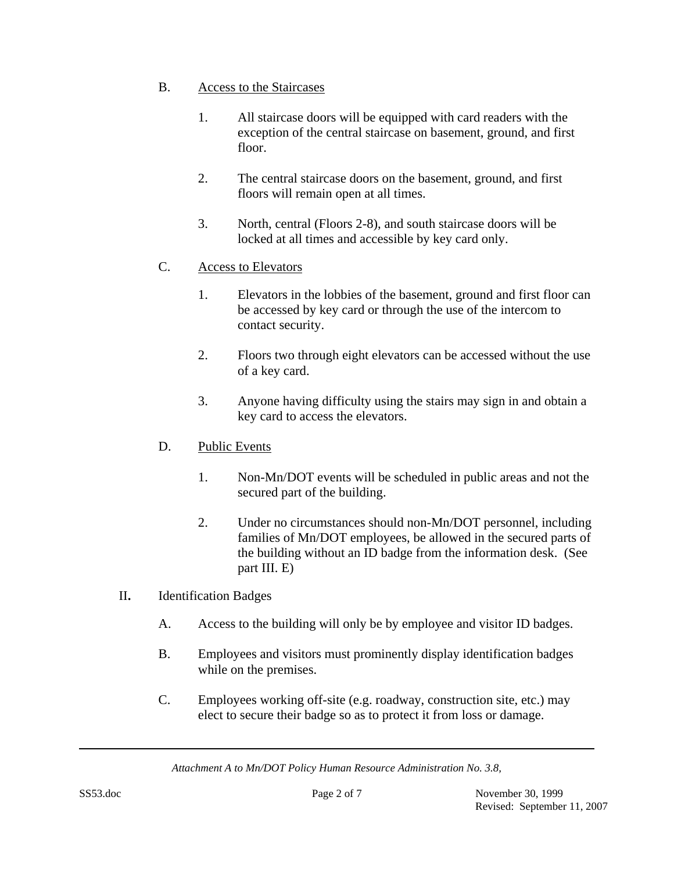- B. Access to the Staircases
	- 1. All staircase doors will be equipped with card readers with the exception of the central staircase on basement, ground, and first floor.
	- 2. The central staircase doors on the basement, ground, and first floors will remain open at all times.
	- 3. North, central (Floors 2-8), and south staircase doors will be locked at all times and accessible by key card only.
- C. Access to Elevators
	- 1. Elevators in the lobbies of the basement, ground and first floor can be accessed by key card or through the use of the intercom to contact security.
	- 2. Floors two through eight elevators can be accessed without the use of a key card.
	- 3. Anyone having difficulty using the stairs may sign in and obtain a key card to access the elevators.
- D. Public Events
	- 1. Non-Mn/DOT events will be scheduled in public areas and not the secured part of the building.
	- 2. Under no circumstances should non-Mn/DOT personnel, including families of Mn/DOT employees, be allowed in the secured parts of the building without an ID badge from the information desk. (See part III. E)
- II**.** Identification Badges
	- A. Access to the building will only be by employee and visitor ID badges.
	- B. Employees and visitors must prominently display identification badges while on the premises.
	- C. Employees working off-site (e.g. roadway, construction site, etc.) may elect to secure their badge so as to protect it from loss or damage.

*Attachment A to Mn/DOT Policy Human Resource Administration No. 3.8,*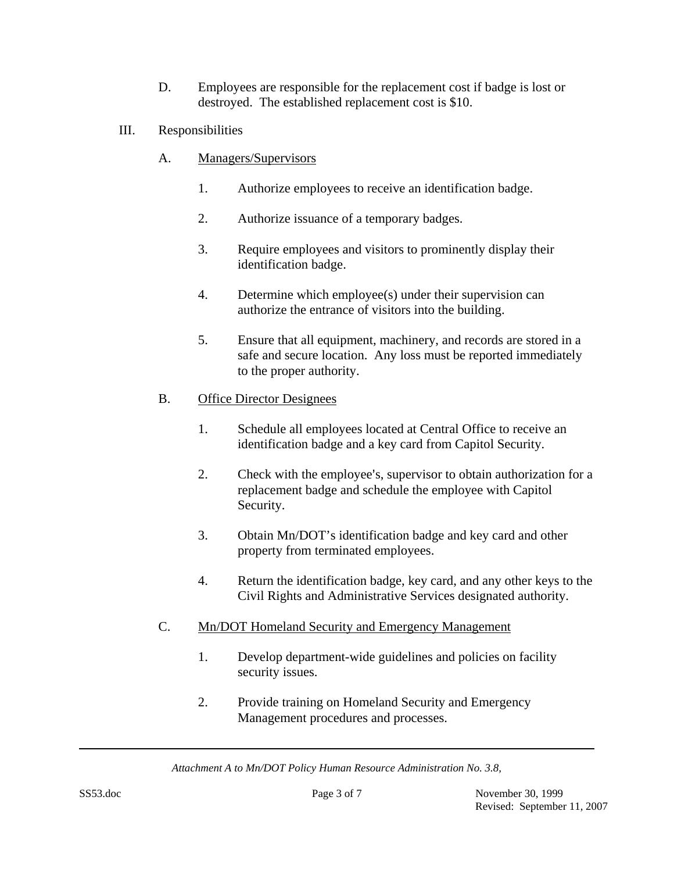- D. Employees are responsible for the replacement cost if badge is lost or destroyed. The established replacement cost is \$10.
- III. Responsibilities
	- A. Managers/Supervisors
		- 1. Authorize employees to receive an identification badge.
		- 2. Authorize issuance of a temporary badges.
		- 3. Require employees and visitors to prominently display their identification badge.
		- 4. Determine which employee(s) under their supervision can authorize the entrance of visitors into the building.
		- 5. Ensure that all equipment, machinery, and records are stored in a safe and secure location. Any loss must be reported immediately to the proper authority.

## B. Office Director Designees

- 1. Schedule all employees located at Central Office to receive an identification badge and a key card from Capitol Security.
- 2. Check with the employee's, supervisor to obtain authorization for a replacement badge and schedule the employee with Capitol Security.
- 3. Obtain Mn/DOT's identification badge and key card and other property from terminated employees.
- 4. Return the identification badge, key card, and any other keys to the Civil Rights and Administrative Services designated authority.
- C. Mn/DOT Homeland Security and Emergency Management
	- 1. Develop department-wide guidelines and policies on facility security issues.
	- 2. Provide training on Homeland Security and Emergency Management procedures and processes.

*Attachment A to Mn/DOT Policy Human Resource Administration No. 3.8,*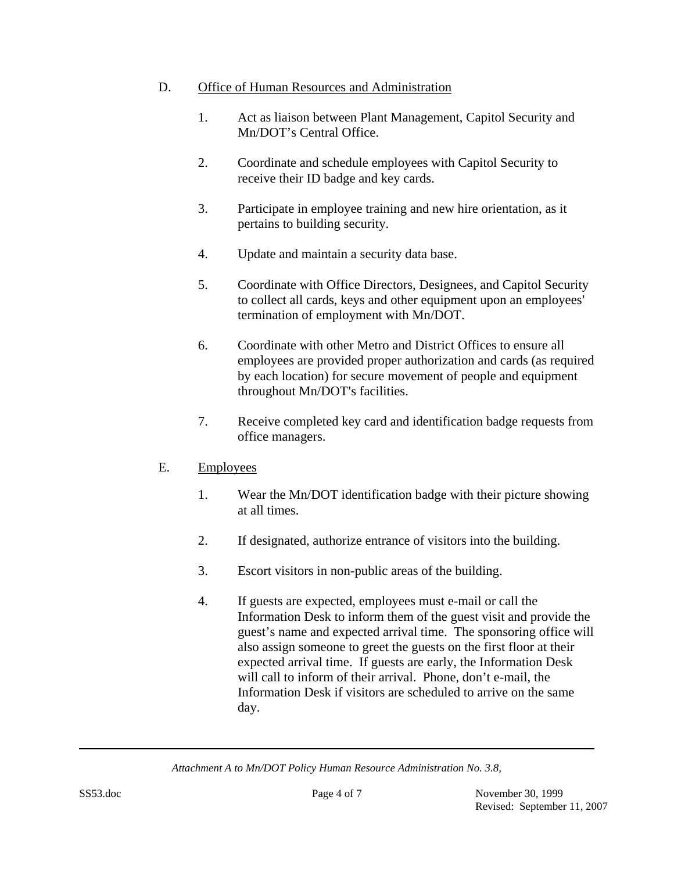### D. Office of Human Resources and Administration

- 1. Act as liaison between Plant Management, Capitol Security and Mn/DOT's Central Office.
- 2. Coordinate and schedule employees with Capitol Security to receive their ID badge and key cards.
- 3. Participate in employee training and new hire orientation, as it pertains to building security.
- 4. Update and maintain a security data base.
- 5. Coordinate with Office Directors, Designees, and Capitol Security to collect all cards, keys and other equipment upon an employees' termination of employment with Mn/DOT.
- 6. Coordinate with other Metro and District Offices to ensure all employees are provided proper authorization and cards (as required by each location) for secure movement of people and equipment throughout Mn/DOT's facilities.
- 7. Receive completed key card and identification badge requests from office managers.

# E. Employees

- 1. Wear the Mn/DOT identification badge with their picture showing at all times.
- 2. If designated, authorize entrance of visitors into the building.
- 3. Escort visitors in non-public areas of the building.
- 4. If guests are expected, employees must e-mail or call the Information Desk to inform them of the guest visit and provide the guest's name and expected arrival time. The sponsoring office will also assign someone to greet the guests on the first floor at their expected arrival time. If guests are early, the Information Desk will call to inform of their arrival. Phone, don't e-mail, the Information Desk if visitors are scheduled to arrive on the same day.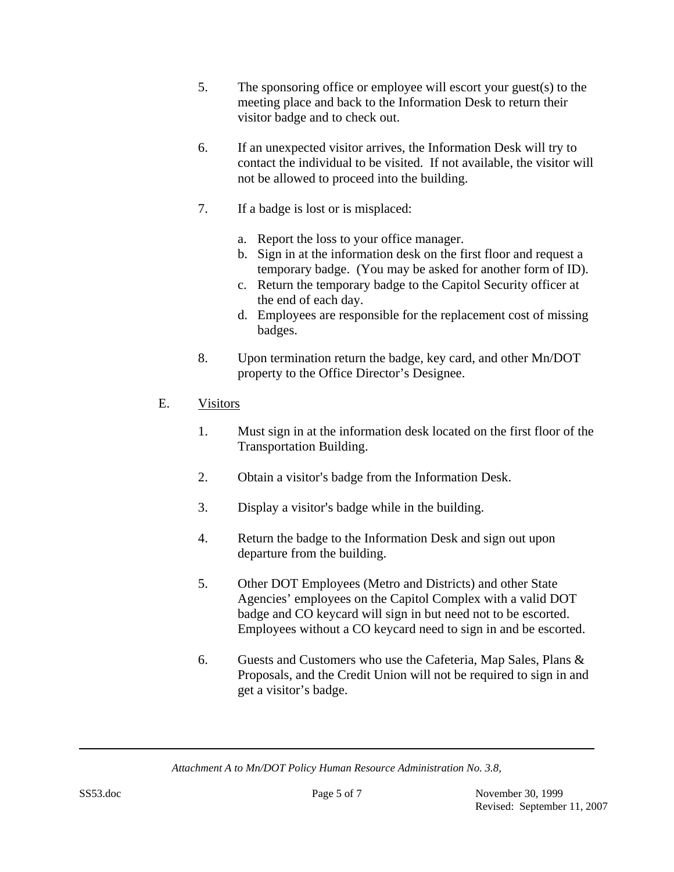- 5. The sponsoring office or employee will escort your guest(s) to the meeting place and back to the Information Desk to return their visitor badge and to check out.
- 6. If an unexpected visitor arrives, the Information Desk will try to contact the individual to be visited. If not available, the visitor will not be allowed to proceed into the building.
- 7. If a badge is lost or is misplaced:
	- a. Report the loss to your office manager.
	- b. Sign in at the information desk on the first floor and request a temporary badge. (You may be asked for another form of ID).
	- c. Return the temporary badge to the Capitol Security officer at the end of each day.
	- d. Employees are responsible for the replacement cost of missing badges.
- 8. Upon termination return the badge, key card, and other Mn/DOT property to the Office Director's Designee.

# E. Visitors

- 1. Must sign in at the information desk located on the first floor of the Transportation Building.
- 2. Obtain a visitor's badge from the Information Desk.
- 3. Display a visitor's badge while in the building.
- 4. Return the badge to the Information Desk and sign out upon departure from the building.
- 5. Other DOT Employees (Metro and Districts) and other State Agencies' employees on the Capitol Complex with a valid DOT badge and CO keycard will sign in but need not to be escorted. Employees without a CO keycard need to sign in and be escorted.
- 6. Guests and Customers who use the Cafeteria, Map Sales, Plans & Proposals, and the Credit Union will not be required to sign in and get a visitor's badge.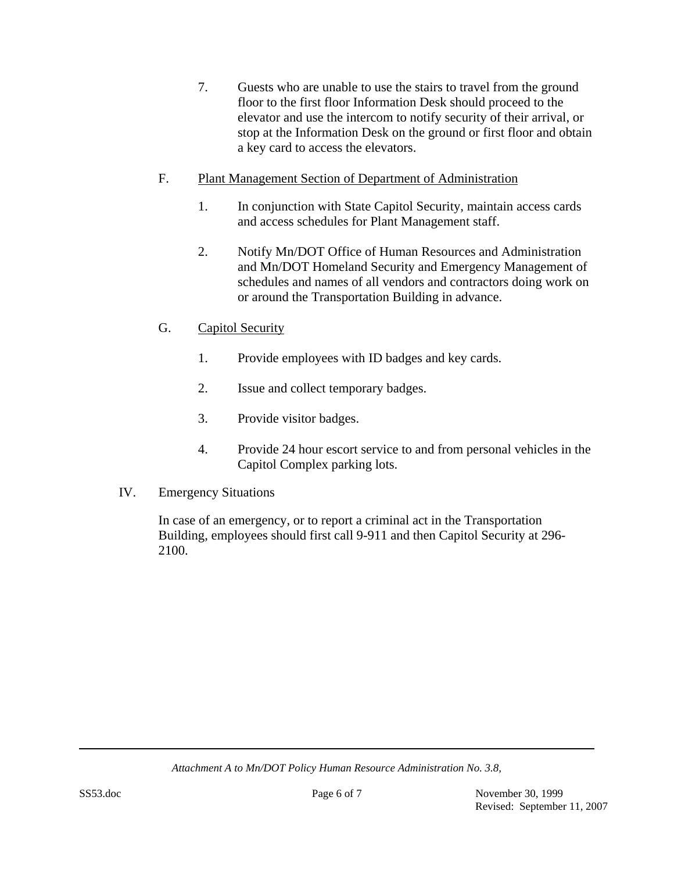- 7. Guests who are unable to use the stairs to travel from the ground floor to the first floor Information Desk should proceed to the elevator and use the intercom to notify security of their arrival, or stop at the Information Desk on the ground or first floor and obtain a key card to access the elevators.
- F. Plant Management Section of Department of Administration
	- 1. In conjunction with State Capitol Security, maintain access cards and access schedules for Plant Management staff.
	- 2. Notify Mn/DOT Office of Human Resources and Administration and Mn/DOT Homeland Security and Emergency Management of schedules and names of all vendors and contractors doing work on or around the Transportation Building in advance.
- G. Capitol Security
	- 1. Provide employees with ID badges and key cards.
	- 2. Issue and collect temporary badges.
	- 3. Provide visitor badges.
	- 4. Provide 24 hour escort service to and from personal vehicles in the Capitol Complex parking lots.
- IV. Emergency Situations

In case of an emergency, or to report a criminal act in the Transportation Building, employees should first call 9-911 and then Capitol Security at 296- 2100.